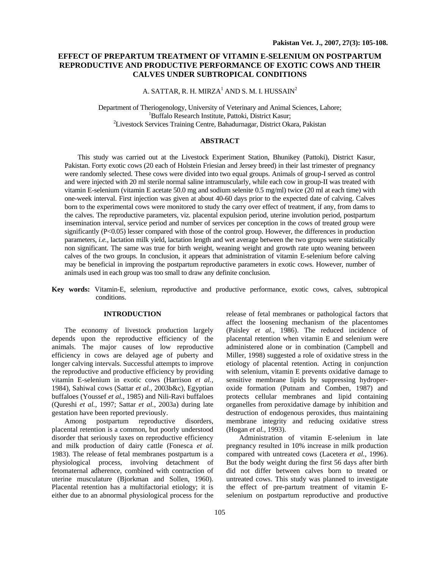# **EFFECT OF PREPARTUM TREATMENT OF VITAMIN E-SELENIUM ON POSTPARTUM REPRODUCTIVE AND PRODUCTIVE PERFORMANCE OF EXOTIC COWS AND THEIR CALVES UNDER SUBTROPICAL CONDITIONS**

A. SATTAR, R. H. MIRZA $^1$  AND S. M. I. HUSSAIN $^2$ 

Department of Theriogenology, University of Veterinary and Animal Sciences, Lahore; 1 <sup>1</sup>Buffalo Research Institute, Pattoki, District Kasur; <sup>2</sup> Livestock Services Training Centre, Bahadurnagar, District Okara, Pakistan

### **ABSTRACT**

 This study was carried out at the Livestock Experiment Station, Bhunikey (Pattoki), District Kasur, Pakistan. Forty exotic cows (20 each of Holstein Friesian and Jersey breed) in their last trimester of pregnancy were randomly selected. These cows were divided into two equal groups. Animals of group-I served as control and were injected with 20 ml sterile normal saline intramuscularly, while each cow in group-II was treated with vitamin E-selenium (vitamin E acetate 50.0 mg and sodium selenite 0.5 mg/ml) twice (20 ml at each time) with one-week interval. First injection was given at about 40-60 days prior to the expected date of calving. Calves born to the experimental cows were monitored to study the carry over effect of treatment, if any, from dams to the calves. The reproductive parameters, viz*.* placental expulsion period, uterine involution period, postpartum insemination interval, service period and number of services per conception in the cows of treated group were significantly (P<0.05) lesser compared with those of the control group. However, the differences in production parameters, *i.e.,* lactation milk yield, lactation length and wet average between the two groups were statistically non significant. The same was true for birth weight, weaning weight and growth rate upto weaning between calves of the two groups. In conclusion, it appears that administration of vitamin E-selenium before calving may be beneficial in improving the postpartum reproductive parameters in exotic cows. However, number of animals used in each group was too small to draw any definite conclusion.

**Key words:** Vitamin-E, selenium, reproductive and productive performance, exotic cows, calves, subtropical conditions.

### **INTRODUCTION**

The economy of livestock production largely depends upon the reproductive efficiency of the animals. The major causes of low reproductive efficiency in cows are delayed age of puberty and longer calving intervals. Successful attempts to improve the reproductive and productive efficiency by providing vitamin E-selenium in exotic cows (Harrison *et al.,*  1984), Sahiwal cows (Sattar *et al.,* 2003b&c), Egyptian buffaloes (Youssef *et al.,* 1985) and Nili-Ravi buffaloes (Qureshi *et al.,* 1997; Sattar *et al.,* 2003a) during late gestation have been reported previously.

Among postpartum reproductive disorders, placental retention is a common, but poorly understood disorder that seriously taxes on reproductive efficiency and milk production of dairy cattle (Fonesca *et al.* 1983). The release of fetal membranes postpartum is a physiological process, involving detachment of fetomaternal adherence, combined with contraction of uterine musculature (Bjorkman and Sollen, 1960). Placental retention has a multifactorial etiology; it is either due to an abnormal physiological process for the

release of fetal membranes or pathological factors that affect the loosening mechanism of the placentomes (Paisley *et al.,* 1986). The reduced incidence of placental retention when vitamin E and selenium were administered alone or in combination (Campbell and Miller, 1998) suggested a role of oxidative stress in the etiology of placental retention. Acting in conjunction with selenium, vitamin E prevents oxidative damage to sensitive membrane lipids by suppressing hydroperoxide formation (Putnam and Comben, 1987) and protects cellular membranes and lipid containing organelles from peroxidative damage by inhibition and destruction of endogenous peroxides, thus maintaining membrane integrity and reducing oxidative stress (Hogan *et al.,* 1993).

Administration of vitamin E-selenium in late pregnancy resulted in 10% increase in milk production compared with untreated cows (Lacetera *et al.*, 1996). But the body weight during the first 56 days after birth did not differ between calves born to treated or untreated cows. This study was planned to investigate the effect of pre-partum treatment of vitamin Eselenium on postpartum reproductive and productive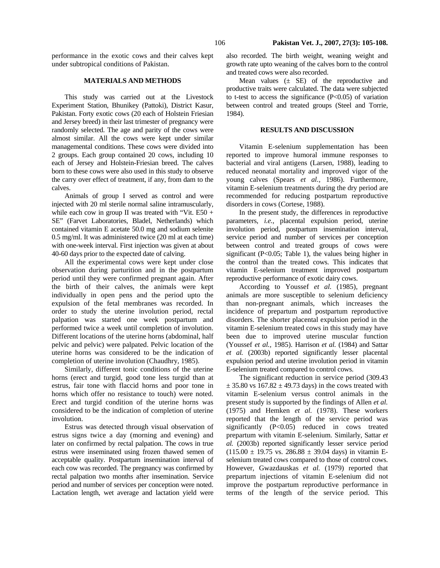performance in the exotic cows and their calves kept under subtropical conditions of Pakistan.

### **MATERIALS AND METHODS**

This study was carried out at the Livestock Experiment Station, Bhunikey (Pattoki), District Kasur, Pakistan. Forty exotic cows (20 each of Holstein Friesian and Jersey breed) in their last trimester of pregnancy were randomly selected. The age and parity of the cows were almost similar. All the cows were kept under similar managemental conditions. These cows were divided into 2 groups. Each group contained 20 cows, including 10 each of Jersey and Holstein-Friesian breed. The calves born to these cows were also used in this study to observe the carry over effect of treatment, if any, from dam to the calves.

Animals of group I served as control and were injected with 20 ml sterile normal saline intramuscularly, while each cow in group II was treated with "Vit. E50 + SE" (Farvet Laboratories, Bladel, Netherlands) which contained vitamin E acetate 50.0 mg and sodium selenite 0.5 mg/ml. It was administered twice (20 ml at each time) with one-week interval. First injection was given at about 40-60 days prior to the expected date of calving.

All the experimental cows were kept under close observation during parturition and in the postpartum period until they were confirmed pregnant again. After the birth of their calves, the animals were kept individually in open pens and the period upto the expulsion of the fetal membranes was recorded. In order to study the uterine involution period, rectal palpation was started one week postpartum and performed twice a week until completion of involution. Different locations of the uterine horns (abdominal, half pelvic and pelvic) were palpated. Pelvic location of the uterine horns was considered to be the indication of completion of uterine involution (Chaudhry, 1985).

Similarly, different tonic conditions of the uterine horns (erect and turgid, good tone less turgid than at estrus, fair tone with flaccid horns and poor tone in horns which offer no resistance to touch) were noted. Erect and turgid condition of the uterine horns was considered to be the indication of completion of uterine involution.

 Estrus was detected through visual observation of estrus signs twice a day (morning and evening) and later on confirmed by rectal palpation. The cows in true estrus were inseminated using frozen thawed semen of acceptable quality. Postpartum insemination interval of each cow was recorded. The pregnancy was confirmed by rectal palpation two months after insemination. Service period and number of services per conception were noted. Lactation length, wet average and lactation yield were

also recorded. The birth weight, weaning weight and growth rate upto weaning of the calves born to the control and treated cows were also recorded.

Mean values  $(\pm$  SE) of the reproductive and productive traits were calculated. The data were subjected to t-test to access the significance  $(P<0.05)$  of variation between control and treated groups (Steel and Torrie, 1984).

## **RESULTS AND DISCUSSION**

 Vitamin E-selenium supplementation has been reported to improve humoral immune responses to bacterial and viral antigens (Larsen, 1988), leading to reduced neonatal mortality and improved vigor of the young calves (Spears *et al.,* 1986). Furthermore, vitamin E-selenium treatments during the dry period are recommended for reducing postpartum reproductive disorders in cows (Cortese, 1988).

 In the present study, the differences in reproductive parameters, *i.e.,* placental expulsion period, uterine involution period, postpartum insemination interval, service period and number of services per conception between control and treated groups of cows were significant (P<0.05; Table 1), the values being higher in the control than the treated cows. This indicates that vitamin E-selenium treatment improved postpartum reproductive performance of exotic dairy cows.

According to Youssef *et al.* (1985), pregnant animals are more susceptible to selenium deficiency than non-pregnant animals, which increases the incidence of prepartum and postpartum reproductive disorders. The shorter placental expulsion period in the vitamin E-selenium treated cows in this study may have been due to improved uterine muscular function (Youssef *et al.,* 1985). Harrison *et al.* (1984) and Sattar *et al.* (2003b) reported significantly lesser placental expulsion period and uterine involution period in vitamin E-selenium treated compared to control cows.

The significant reduction in service period (309.43  $\pm$  35.80 vs 167.82  $\pm$  49.73 days) in the cows treated with vitamin E-selenium versus control animals in the present study is supported by the findings of Allen *et al.* (1975) and Hemken *et al.* (1978). These workers reported that the length of the service period was significantly (P<0.05) reduced in cows treated prepartum with vitamin E-selenium. Similarly, Sattar *et al.* (2003b) reported significantly lesser service period  $(115.00 \pm 19.75 \text{ vs. } 286.88 \pm 39.04 \text{ days})$  in vitamin Eselenium treated cows compared to those of control cows. However, Gwazdauskas *et al.* (1979) reported that prepartum injections of vitamin E-selenium did not improve the postpartum reproductive performance in terms of the length of the service period. This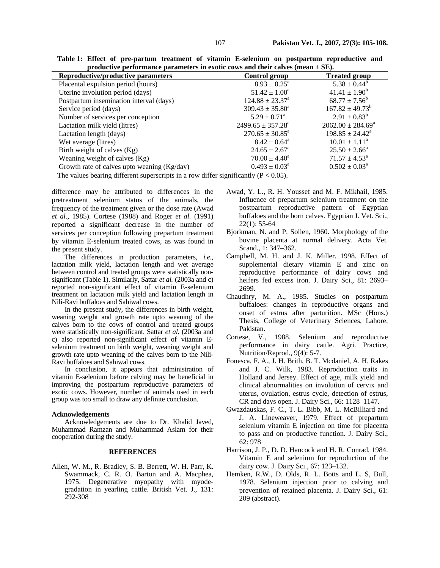**Table 1: Effect of pre-partum treatment of vitamin E-selenium on postpartum reproductive and productive performance parameters in exotic cows and their calves (mean ± SE).** 

| Reproductive/productive parameters          | Control group              | <b>Treated group</b>     |
|---------------------------------------------|----------------------------|--------------------------|
| Placental expulsion period (hours)          | $8.93 \pm 0.25^{\text{a}}$ | $5.38 \pm 0.44^b$        |
| Uterine involution period (days)            | $51.42 \pm 1.00^a$         | $41.41 \pm 1.90^b$       |
| Postpartum insemination interval (days)     | $124.88 \pm 23.37^a$       | $68.77 \pm 7.56^b$       |
| Service period (days)                       | $309.43 \pm 35.80^a$       | $167.82 \pm 49.73^b$     |
| Number of services per conception           | $5.29 \pm 0.71^{\circ}$    | $2.91 \pm 0.83^b$        |
| Lactation milk yield (litres)               | $2499.65 \pm 357.28^a$     | $2062.00 \pm 284.69^a$   |
| Lactation length (days)                     | $270.65 \pm 30.85^a$       | $198.85 \pm 24.42^a$     |
| Wet average (litres)                        | $8.42 \pm 0.64^{\circ}$    | $10.01 \pm 1.11^a$       |
| Birth weight of calves (Kg)                 | $24.65 \pm 2.67^{\circ}$   | $25.50 \pm 2.66^{\circ}$ |
| Weaning weight of calves (Kg)               | $70.00 \pm 4.40^a$         | $71.57 \pm 4.53^{\circ}$ |
| Growth rate of calves upto weaning (Kg/day) | $0.493 \pm 0.03^a$         | $0.502 \pm 0.03^a$       |

The values bearing different superscripts in a row differ significantly ( $P < 0.05$ ).

difference may be attributed to differences in the pretreatment selenium status of the animals, the frequency of the treatment given or the dose rate (Awad *et al.,* 1985). Cortese (1988) and Roger *et al.* (1991) reported a significant decrease in the number of services per conception following prepartum treatment by vitamin E-selenium treated cows, as was found in the present study.

 The differences in production parameters, *i.e.,* lactation milk yield, lactation length and wet average between control and treated groups were statistically nonsignificant (Table 1). Similarly, Sattar *et al.* (2003a and c) reported non-significant effect of vitamin E-selenium treatment on lactation milk yield and lactation length in Nili-Ravi buffaloes and Sahiwal cows.

 In the present study, the differences in birth weight, weaning weight and growth rate upto weaning of the calves born to the cows of control and treated groups were statistically non-significant. Sattar *et al.* (2003a and c) also reported non-significant effect of vitamin Eselenium treatment on birth weight, weaning weight and growth rate upto weaning of the calves born to the Nili-Ravi buffaloes and Sahiwal cows.

 In conclusion, it appears that administration of vitamin E-selenium before calving may be beneficial in improving the postpartum reproductive parameters of exotic cows. However, number of animals used in each group was too small to draw any definite conclusion.

#### **Acknowledgements**

 Acknowledgements are due to Dr. Khalid Javed, Muhammad Ramzan and Muhammad Aslam for their cooperation during the study.

#### **REFERENCES**

Allen, W. M., R. Bradley, S. B. Berrett, W. H. Parr, K. Swammack, C. R. O. Barton and A. Macphea, 1975. Degenerative myopathy with myodegradation in yearling cattle. British Vet. J., 131: 292-308

- Awad, Y. L., R. H. Youssef and M. F. Mikhail, 1985. Influence of prepartum selenium treatment on the postpartum reproductive pattern of Egyptian buffaloes and the born calves. Egyptian J. Vet. Sci., 22(1): 55-64
- Bjorkman, N. and P. Sollen, 1960. Morphology of the bovine placenta at normal delivery. Acta Vet. Scand., 1: 347–362.
- Campbell, M. H. and J. K. Miller. 1998. Effect of supplemental dietary vitamin E and zinc on reproductive performance of dairy cows and heifers fed excess iron. J. Dairy Sci., 81: 2693– 2699.
- Chaudhry, M. A., 1985. Studies on postpartum buffaloes: changes in reproductive organs and onset of estrus after parturition. MSc (Hons.) Thesis, College of Veterinary Sciences, Lahore, Pakistan.
- Cortese, V., 1988. Selenium and reproductive performance in dairy cattle. Agri. Practice, Nutrition/Reprod., 9(4): 5-7.
- Fonesca, F. A., J. H. Brith, B. T. Mcdaniel, A. H. Rakes and J. C. Wilk, 1983. Reproduction traits in Holland and Jersey. Effect of age, milk yield and clinical abnormalities on involution of cervix and uterus, ovulation, estrus cycle, detection of estrus, CR and days open. J. Dairy Sci., 66: 1128–1147.
- Gwazdauskas, F. C., T. L. Bibb, M. L. McBilliard and J. A. Lineweaver, 1979. Effect of prepartum selenium vitamin E injection on time for placenta to pass and on productive function. J. Dairy Sci., 62: 978
- Harrison, J. P., D. D. Hancock and H. R. Conrad, 1984. Vitamin E and selenium for reproduction of the dairy cow. J. Dairy Sci., 67: 123–132.
- Hemken, R.W., D. Olds, R. L. Botts and L. S, Bull, 1978. Selenium injection prior to calving and prevention of retained placenta. J. Dairy Sci., 61: 209 (abstract).